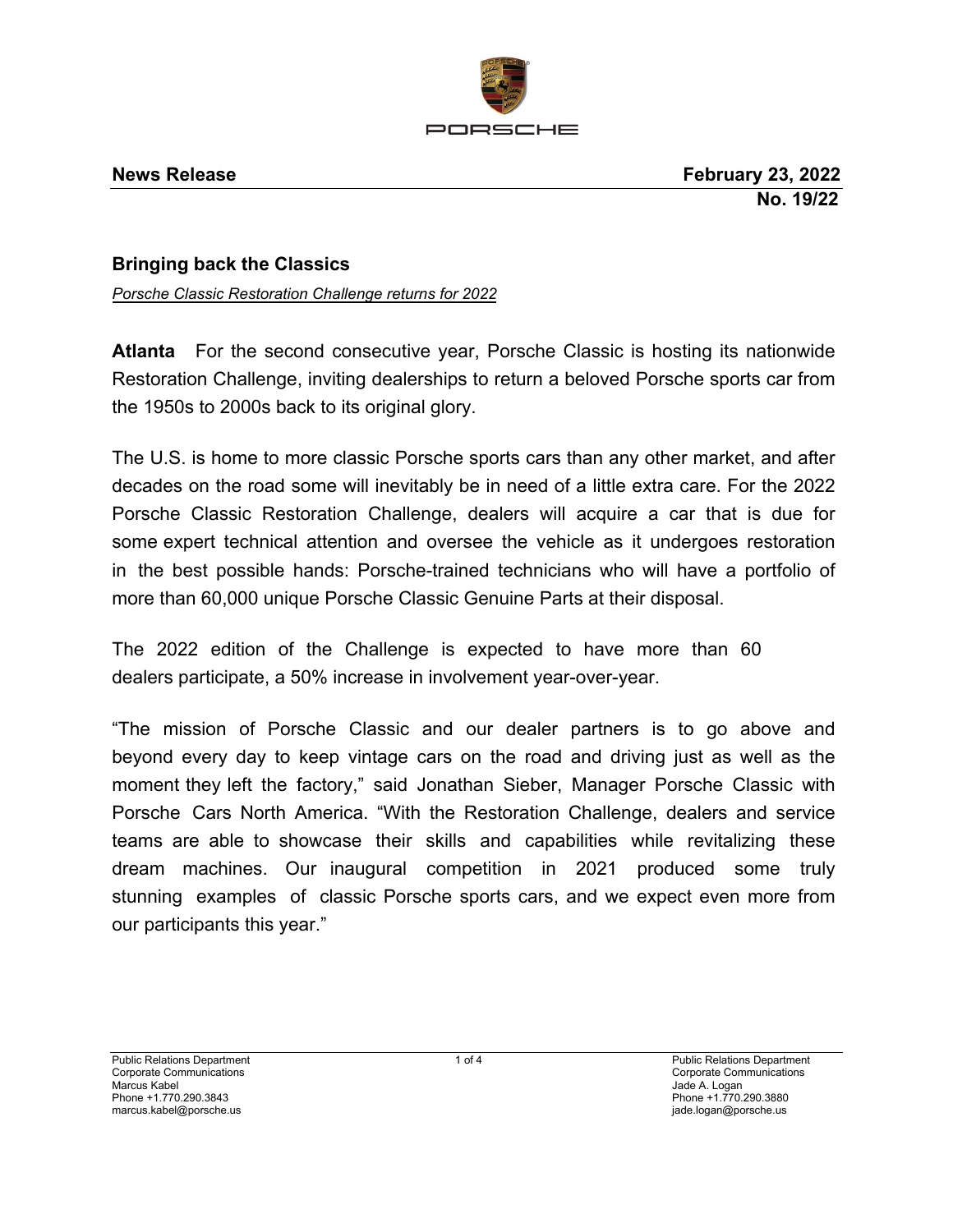

## **Bringing back the Classics**

*Porsche Classic Restoration Challenge returns for 2022*

**Atlanta** For the second consecutive year, Porsche Classic is hosting its nationwide Restoration Challenge, inviting dealerships to return a beloved Porsche sports car from the 1950s to 2000s back to its original glory.

The U.S. is home to more classic Porsche sports cars than any other market, and after decades on the road some will inevitably be in need of a little extra care. For the 2022 Porsche Classic Restoration Challenge, dealers will acquire a car that is due for some expert technical attention and oversee the vehicle as it undergoes restoration in the best possible hands: Porsche-trained technicians who will have a portfolio of more than 60,000 unique Porsche Classic Genuine Parts at their disposal.

The 2022 edition of the Challenge is expected to have more than 60 dealers participate, a 50% increase in involvement year-over-year.

"The mission of Porsche Classic and our dealer partners is to go above and beyond every day to keep vintage cars on the road and driving just as well as the moment they left the factory," said Jonathan Sieber, Manager Porsche Classic with Porsche Cars North America. "With the Restoration Challenge, dealers and service teams are able to showcase their skills and capabilities while revitalizing these dream machines. Our inaugural competition in 2021 produced some truly stunning examples of classic Porsche sports cars, and we expect even more from our participants this year."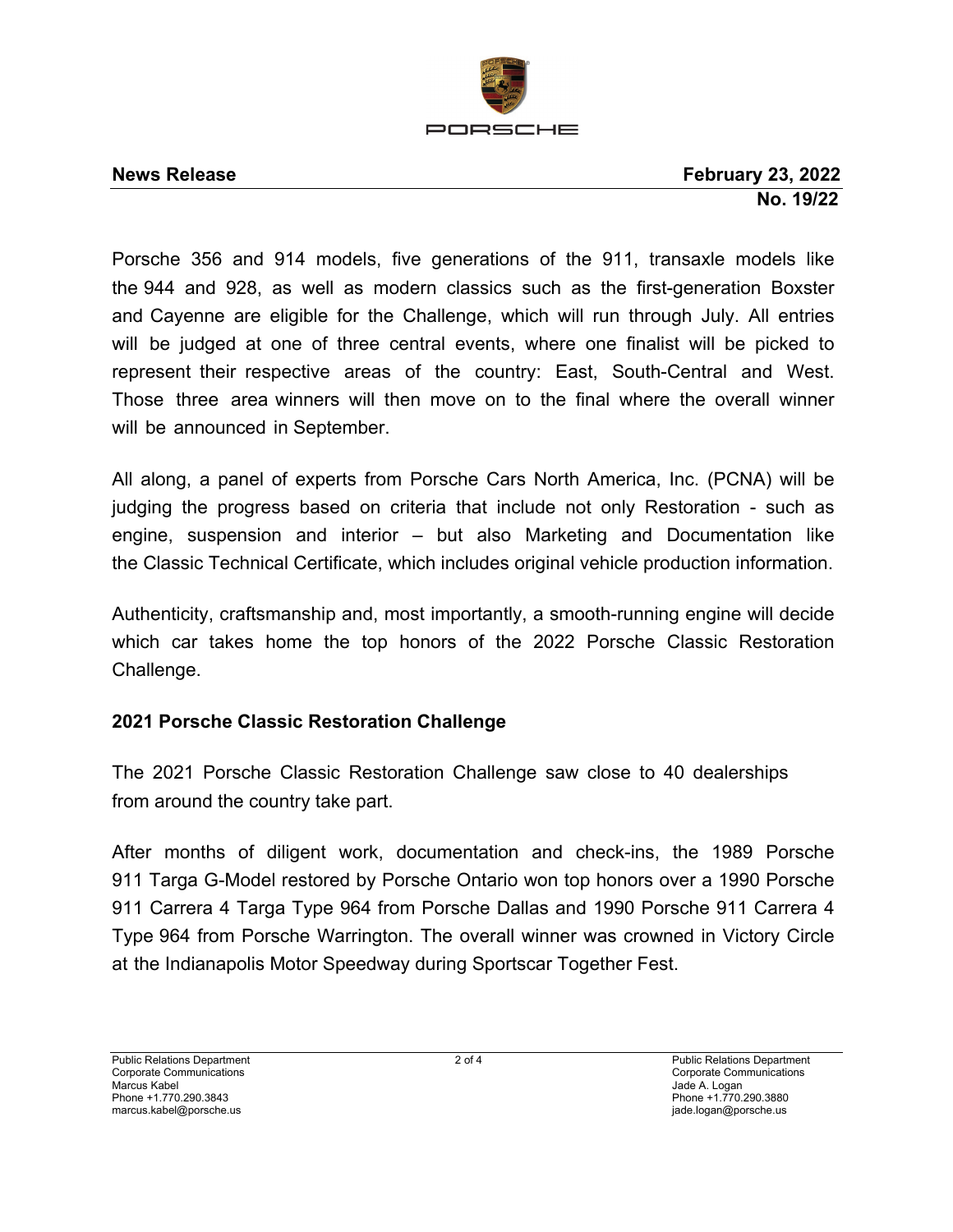

Porsche 356 and 914 models, five generations of the 911, transaxle models like the 944 and 928, as well as modern classics such as the first-generation Boxster and Cayenne are eligible for the Challenge, which will run through July. All entries will be judged at one of three central events, where one finalist will be picked to represent their respective areas of the country: East, South-Central and West. Those three area winners will then move on to the final where the overall winner will be announced in September.

All along, a panel of experts from Porsche Cars North America, Inc. (PCNA) will be judging the progress based on criteria that include not only Restoration - such as engine, suspension and interior – but also Marketing and Documentation like the Classic Technical Certificate, which includes original vehicle production information.

Authenticity, craftsmanship and, most importantly, a smooth-running engine will decide which car takes home the top honors of the 2022 Porsche Classic Restoration Challenge.

# **2021 Porsche Classic Restoration Challenge**

The 2021 Porsche Classic Restoration Challenge saw close to 40 dealerships from around the country take part.

After months of diligent work, documentation and check-ins, the 1989 Porsche 911 Targa G-Model restored by Porsche Ontario won top honors over a 1990 Porsche 911 Carrera 4 Targa Type 964 from Porsche Dallas and 1990 Porsche 911 Carrera 4 Type 964 from Porsche Warrington. The overall winner was crowned in Victory Circle at the Indianapolis Motor Speedway during Sportscar Together Fest.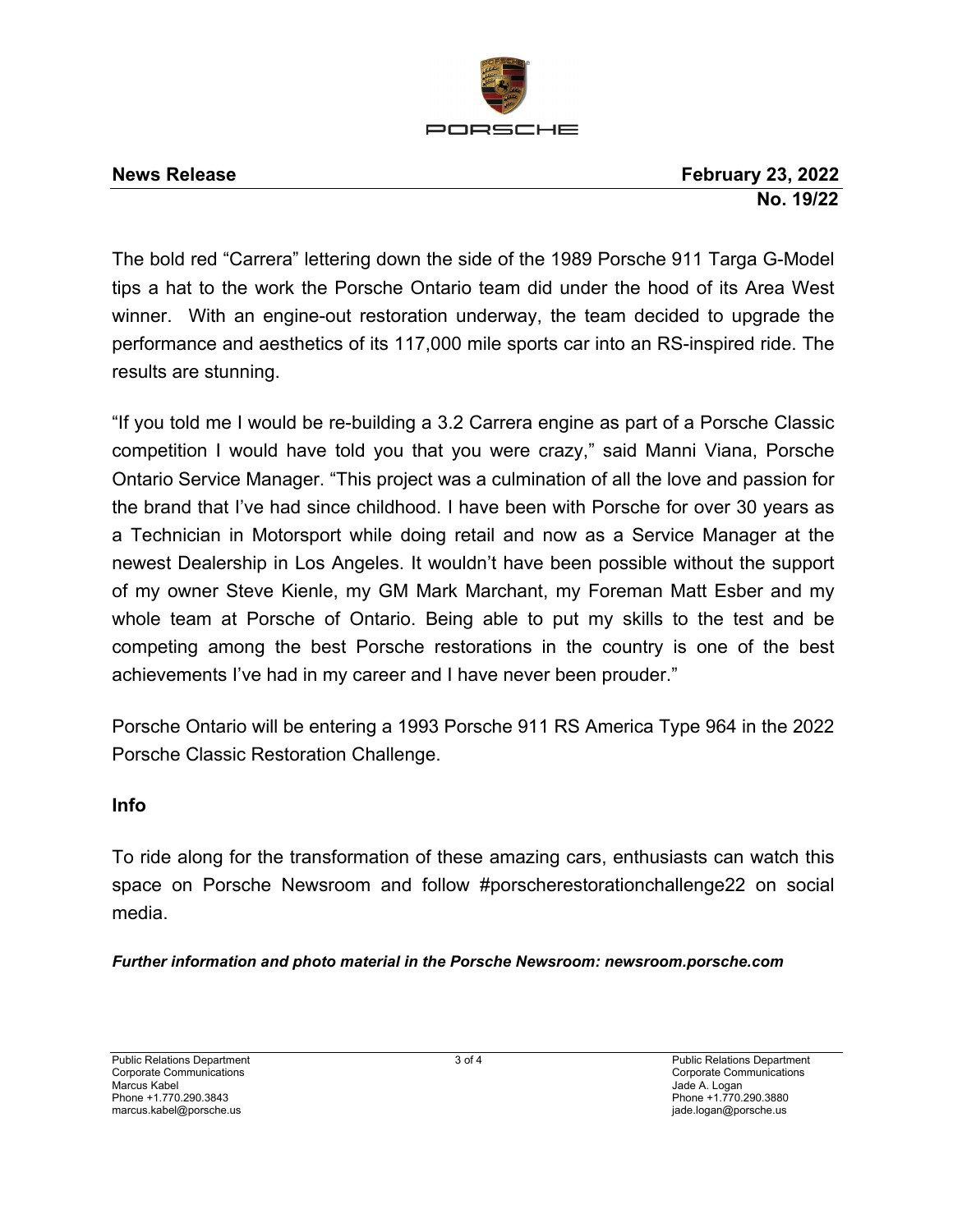

**News Release February 23, 2022 No. 19/22** 

The bold red "Carrera" lettering down the side of the 1989 Porsche 911 Targa G-Model tips a hat to the work the Porsche Ontario team did under the hood of its Area West winner. With an engine-out restoration underway, the team decided to upgrade the performance and aesthetics of its 117,000 mile sports car into an RS-inspired ride. The results are stunning.

"If you told me I would be re-building a 3.2 Carrera engine as part of a Porsche Classic competition I would have told you that you were crazy," said Manni Viana, Porsche Ontario Service Manager. "This project was a culmination of all the love and passion for the brand that I've had since childhood. I have been with Porsche for over 30 years as a Technician in Motorsport while doing retail and now as a Service Manager at the newest Dealership in Los Angeles. It wouldn't have been possible without the support of my owner Steve Kienle, my GM Mark Marchant, my Foreman Matt Esber and my whole team at Porsche of Ontario. Being able to put my skills to the test and be competing among the best Porsche restorations in the country is one of the best achievements I've had in my career and I have never been prouder."

Porsche Ontario will be entering a 1993 Porsche 911 RS America Type 964 in the 2022 Porsche Classic Restoration Challenge.

## **Info**

To ride along for the transformation of these amazing cars, enthusiasts can watch this space on Porsche Newsroom and follow #porscherestorationchallenge22 on social media.

*Further information and photo material in the Porsche Newsroom: newsroom.porsche.com*